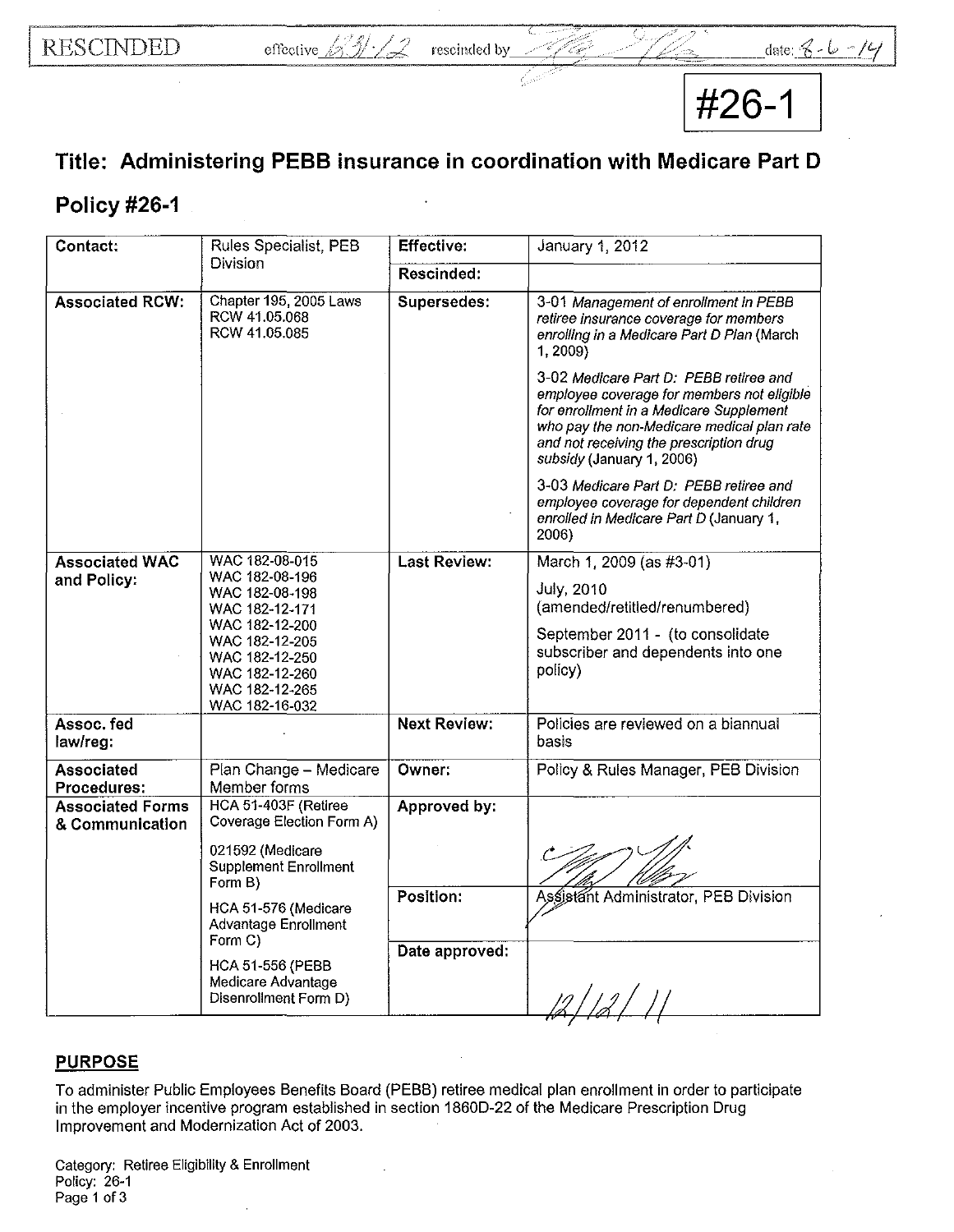**#26-1** 

## **Title: Administering PEBB insurance in coordination with Medicare Part D**

## **Policy #26-1**

| Contact:                                   | Rules Specialist, PEB                                                                                                      | <b>Effective:</b>   | January 1, 2012                                                                                                                                                                                                                                       |
|--------------------------------------------|----------------------------------------------------------------------------------------------------------------------------|---------------------|-------------------------------------------------------------------------------------------------------------------------------------------------------------------------------------------------------------------------------------------------------|
|                                            | Division                                                                                                                   | Rescinded:          |                                                                                                                                                                                                                                                       |
| <b>Associated RCW:</b>                     | Chapter 195, 2005 Laws<br>RCW 41.05.068<br>RCW 41.05.085                                                                   | Supersedes:         | 3-01 Management of enrollment in PEBB<br>retiree insurance coverage for members<br>enrolling in a Medicare Part D Plan (March<br>1, 2009)                                                                                                             |
|                                            |                                                                                                                            |                     | 3-02 Medicare Part D: PEBB retiree and<br>employee coverage for members not eligible<br>for enrollment in a Medicare Supplement<br>who pay the non-Medicare medical plan rate<br>and not receiving the prescription drug<br>subsidy (January 1, 2006) |
|                                            |                                                                                                                            |                     | 3-03 Medicare Part D: PEBB retiree and<br>employee coverage for dependent children<br>enrolled in Medicare Part D (January 1,<br>2006)                                                                                                                |
| <b>Associated WAC</b>                      | WAC 182-08-015<br>WAC 182-08-196                                                                                           | <b>Last Review:</b> | March 1, 2009 (as #3-01)                                                                                                                                                                                                                              |
| and Policy:                                | WAC 182-08-198                                                                                                             |                     | <b>July, 2010</b><br>(amended/retitled/renumbered)                                                                                                                                                                                                    |
|                                            | WAC 182-12-171<br>WAC 182-12-200<br>WAC 182-12-205<br>WAC 182-12-250<br>WAC 182-12-260<br>WAC 182-12-265<br>WAC 182-16-032 |                     | September 2011 - (to consolidate<br>subscriber and dependents into one<br>policy)                                                                                                                                                                     |
| Assoc. fed<br>law/reg:                     |                                                                                                                            | <b>Next Review:</b> | Policies are reviewed on a biannual<br>basis                                                                                                                                                                                                          |
| <b>Associated</b><br>Procedures:           | Plan Change - Medicare<br>Member forms                                                                                     | Owner:              | Policy & Rules Manager, PEB Division                                                                                                                                                                                                                  |
| <b>Associated Forms</b><br>& Communication | HCA 51-403F (Retiree<br>Coverage Election Form A)                                                                          | Approved by:        |                                                                                                                                                                                                                                                       |
|                                            | 021592 (Medicare<br><b>Supplement Enrollment</b><br>Form B)                                                                |                     |                                                                                                                                                                                                                                                       |
|                                            | HCA 51-576 (Medicare<br>Advantage Enrollment                                                                               | Position:           | Assistant Administrator, PEB Division                                                                                                                                                                                                                 |
|                                            | Form C)<br><b>HCA 51-556 (PEBB</b><br>Medicare Advantage<br>Disenrollment Form D)                                          | Date approved:      |                                                                                                                                                                                                                                                       |

## **PURPOSE**

To administer Public Employees Benefits Board (PEBB) retiree medical plan enrollment **in** order to participate in the employer incentive program established in section 1860D-22 of the Medicare Prescription Drug Improvement and Modernization Act of 2003.

Category: Retiree Eligibility & Enrollment Policy: 26-1 Page 1 of 3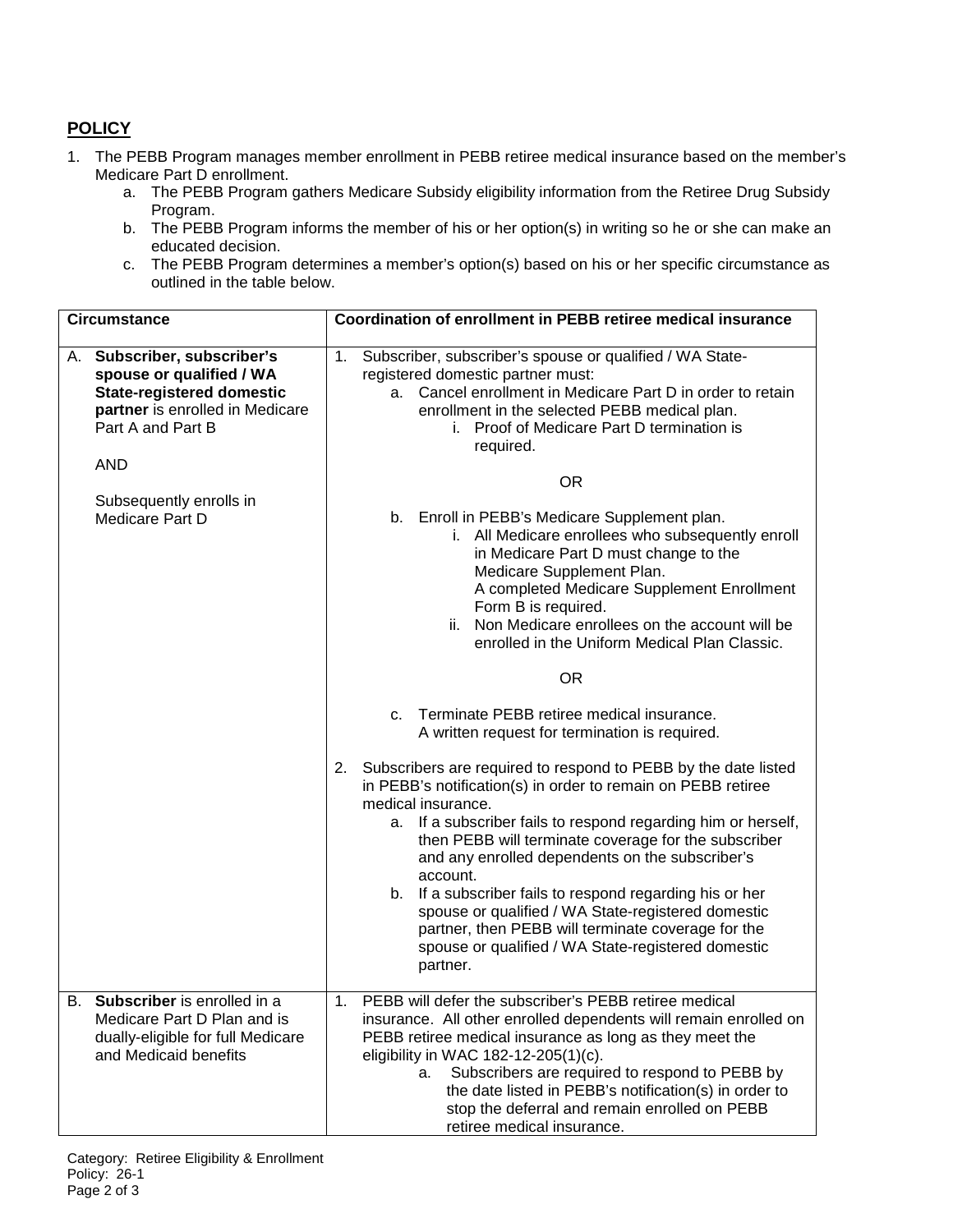## **POLICY**

- 1. The PEBB Program manages member enrollment in PEBB retiree medical insurance based on the member's Medicare Part D enrollment.
	- a. The PEBB Program gathers Medicare Subsidy eligibility information from the Retiree Drug Subsidy Program.
	- b. The PEBB Program informs the member of his or her option(s) in writing so he or she can make an educated decision.
	- c. The PEBB Program determines a member's option(s) based on his or her specific circumstance as outlined in the table below.

| <b>Circumstance</b> |                                                                                                                                                  |                                                                                                                                                                                                                                                                               | Coordination of enrollment in PEBB retiree medical insurance                                                                                                                                                                                                                                                                                                                                                                                                                                                                                                                           |  |  |  |
|---------------------|--------------------------------------------------------------------------------------------------------------------------------------------------|-------------------------------------------------------------------------------------------------------------------------------------------------------------------------------------------------------------------------------------------------------------------------------|----------------------------------------------------------------------------------------------------------------------------------------------------------------------------------------------------------------------------------------------------------------------------------------------------------------------------------------------------------------------------------------------------------------------------------------------------------------------------------------------------------------------------------------------------------------------------------------|--|--|--|
| А.                  | Subscriber, subscriber's<br>spouse or qualified / WA<br><b>State-registered domestic</b><br>partner is enrolled in Medicare<br>Part A and Part B | Subscriber, subscriber's spouse or qualified / WA State-<br>1.<br>registered domestic partner must:<br>a. Cancel enrollment in Medicare Part D in order to retain<br>enrollment in the selected PEBB medical plan.<br>i. Proof of Medicare Part D termination is<br>required. |                                                                                                                                                                                                                                                                                                                                                                                                                                                                                                                                                                                        |  |  |  |
|                     | <b>AND</b>                                                                                                                                       |                                                                                                                                                                                                                                                                               | <b>OR</b>                                                                                                                                                                                                                                                                                                                                                                                                                                                                                                                                                                              |  |  |  |
|                     | Subsequently enrolls in<br>Medicare Part D                                                                                                       |                                                                                                                                                                                                                                                                               | b. Enroll in PEBB's Medicare Supplement plan.<br>i. All Medicare enrollees who subsequently enroll<br>in Medicare Part D must change to the<br>Medicare Supplement Plan.<br>A completed Medicare Supplement Enrollment<br>Form B is required.<br>ii. Non Medicare enrollees on the account will be<br>enrolled in the Uniform Medical Plan Classic.                                                                                                                                                                                                                                    |  |  |  |
|                     |                                                                                                                                                  |                                                                                                                                                                                                                                                                               | <b>OR</b>                                                                                                                                                                                                                                                                                                                                                                                                                                                                                                                                                                              |  |  |  |
|                     |                                                                                                                                                  |                                                                                                                                                                                                                                                                               | Terminate PEBB retiree medical insurance.<br>C <sub>1</sub><br>A written request for termination is required.                                                                                                                                                                                                                                                                                                                                                                                                                                                                          |  |  |  |
|                     |                                                                                                                                                  | 2.                                                                                                                                                                                                                                                                            | Subscribers are required to respond to PEBB by the date listed<br>in PEBB's notification(s) in order to remain on PEBB retiree<br>medical insurance.<br>a. If a subscriber fails to respond regarding him or herself,<br>then PEBB will terminate coverage for the subscriber<br>and any enrolled dependents on the subscriber's<br>account.<br>b. If a subscriber fails to respond regarding his or her<br>spouse or qualified / WA State-registered domestic<br>partner, then PEBB will terminate coverage for the<br>spouse or qualified / WA State-registered domestic<br>partner. |  |  |  |
|                     | B. Subscriber is enrolled in a<br>Medicare Part D Plan and is<br>dually-eligible for full Medicare<br>and Medicaid benefits                      | $\mathbf 1$                                                                                                                                                                                                                                                                   | PEBB will defer the subscriber's PEBB retiree medical<br>insurance. All other enrolled dependents will remain enrolled on<br>PEBB retiree medical insurance as long as they meet the<br>eligibility in WAC 182-12-205(1)(c).<br>Subscribers are required to respond to PEBB by<br>а.<br>the date listed in PEBB's notification(s) in order to<br>stop the deferral and remain enrolled on PEBB<br>retiree medical insurance.                                                                                                                                                           |  |  |  |